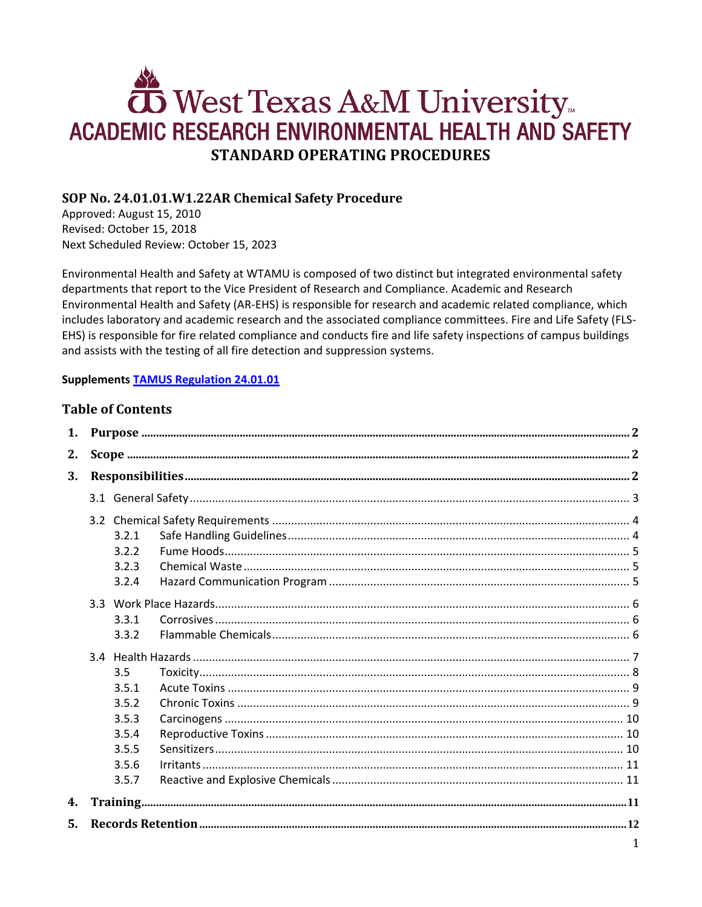# West Texas A&M University **ACADEMIC RESEARCH ENVIRONMENTAL HEALTH AND SAFETY STANDARD OPERATING PROCEDURES**

# SOP No. 24.01.01.W1.22AR Chemical Safety Procedure

Approved: August 15, 2010 Revised: October 15, 2018 Next Scheduled Review: October 15, 2023

Environmental Health and Safety at WTAMU is composed of two distinct but integrated environmental safety departments that report to the Vice President of Research and Compliance. Academic and Research Environmental Health and Safety (AR-EHS) is responsible for research and academic related compliance, which includes laboratory and academic research and the associated compliance committees. Fire and Life Safety (FLS-EHS) is responsible for fire related compliance and conducts fire and life safety inspections of campus buildings and assists with the testing of all fire detection and suppression systems.

# **Supplements TAMUS Regulation 24.01.01**

# **Table of Contents**

| 1. |  |                                                                    |  |  |  |
|----|--|--------------------------------------------------------------------|--|--|--|
| 2. |  |                                                                    |  |  |  |
| 3. |  |                                                                    |  |  |  |
|    |  |                                                                    |  |  |  |
|    |  | 3.2.1<br>3.2.2<br>3.2.3<br>3.2.4                                   |  |  |  |
|    |  | 3.3.1<br>3.3.2                                                     |  |  |  |
|    |  | 3.5<br>3.5.1<br>3.5.2<br>3.5.3<br>3.5.4<br>3.5.5<br>3.5.6<br>3.5.7 |  |  |  |
| 4. |  |                                                                    |  |  |  |
| 5. |  |                                                                    |  |  |  |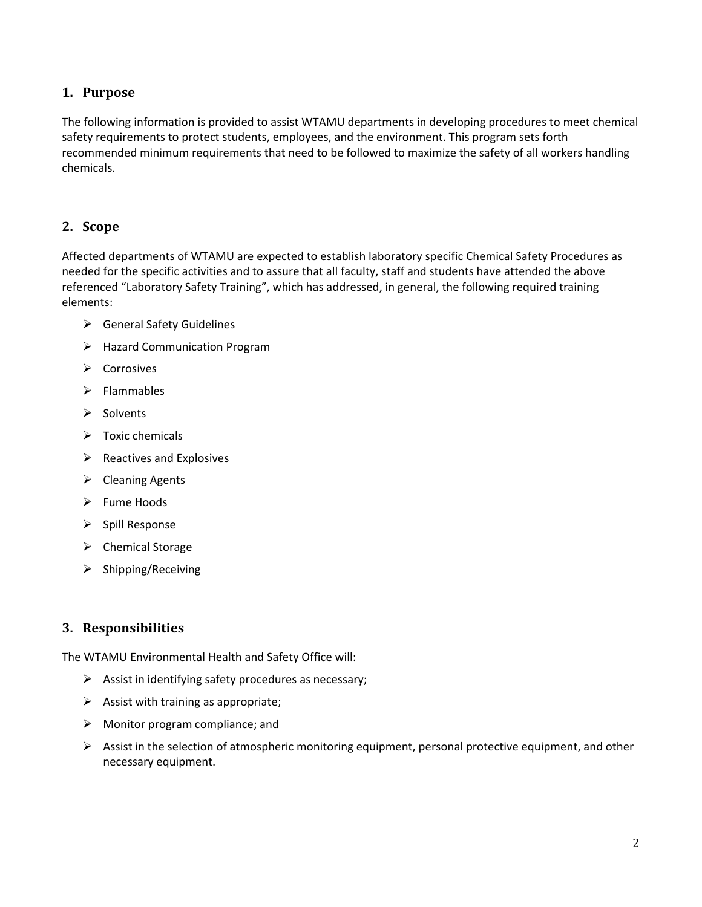# <span id="page-1-0"></span>**1. Purpose**

The following information is provided to assist WTAMU departments in developing procedures to meet chemical safety requirements to protect students, employees, and the environment. This program sets forth recommended minimum requirements that need to be followed to maximize the safety of all workers handling chemicals.

# <span id="page-1-1"></span>**2. Scope**

Affected departments of WTAMU are expected to establish laboratory specific Chemical Safety Procedures as needed for the specific activities and to assure that all faculty, staff and students have attended the above referenced "Laboratory Safety Training", which has addressed, in general, the following required training elements:

- $\triangleright$  General Safety Guidelines
- Hazard Communication Program
- $\triangleright$  Corrosives
- $\triangleright$  Flammables
- $\triangleright$  Solvents
- $\triangleright$  Toxic chemicals
- $\triangleright$  Reactives and Explosives
- $\triangleright$  Cleaning Agents
- $\triangleright$  Fume Hoods
- $\triangleright$  Spill Response
- > Chemical Storage
- $\triangleright$  Shipping/Receiving

# <span id="page-1-2"></span>**3. Responsibilities**

The WTAMU Environmental Health and Safety Office will:

- $\triangleright$  Assist in identifying safety procedures as necessary;
- $\triangleright$  Assist with training as appropriate;
- $\triangleright$  Monitor program compliance; and
- $\triangleright$  Assist in the selection of atmospheric monitoring equipment, personal protective equipment, and other necessary equipment.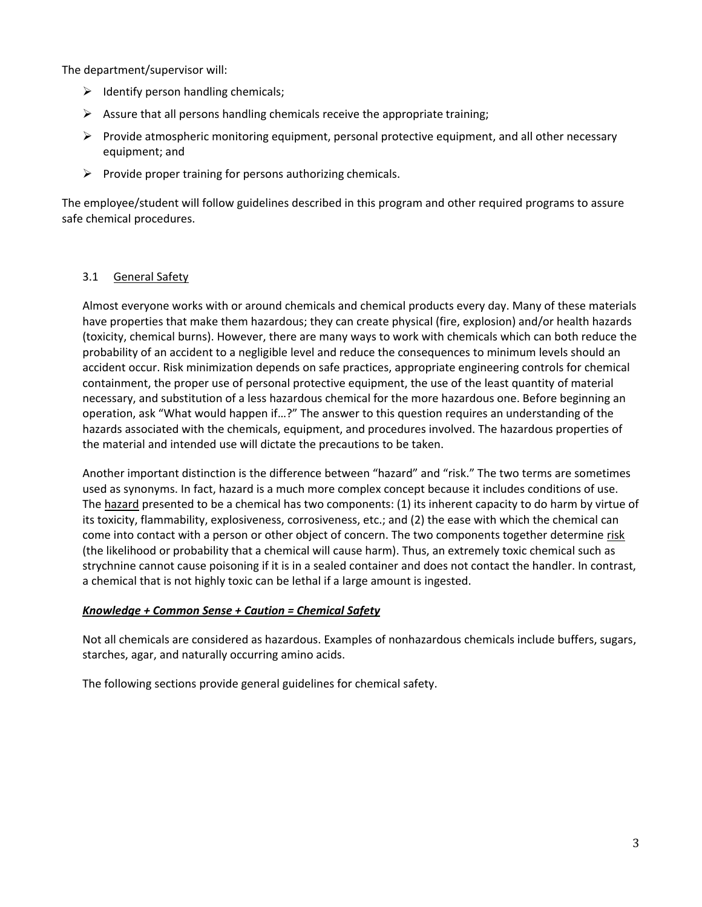The department/supervisor will:

- $\triangleright$  Identify person handling chemicals;
- $\triangleright$  Assure that all persons handling chemicals receive the appropriate training;
- $\triangleright$  Provide atmospheric monitoring equipment, personal protective equipment, and all other necessary equipment; and
- $\triangleright$  Provide proper training for persons authorizing chemicals.

The employee/student will follow guidelines described in this program and other required programs to assure safe chemical procedures.

# <span id="page-2-0"></span>3.1 General Safety

Almost everyone works with or around chemicals and chemical products every day. Many of these materials have properties that make them hazardous; they can create physical (fire, explosion) and/or health hazards (toxicity, chemical burns). However, there are many ways to work with chemicals which can both reduce the probability of an accident to a negligible level and reduce the consequences to minimum levels should an accident occur. Risk minimization depends on safe practices, appropriate engineering controls for chemical containment, the proper use of personal protective equipment, the use of the least quantity of material necessary, and substitution of a less hazardous chemical for the more hazardous one. Before beginning an operation, ask "What would happen if…?" The answer to this question requires an understanding of the hazards associated with the chemicals, equipment, and procedures involved. The hazardous properties of the material and intended use will dictate the precautions to be taken.

Another important distinction is the difference between "hazard" and "risk." The two terms are sometimes used as synonyms. In fact, hazard is a much more complex concept because it includes conditions of use. The hazard presented to be a chemical has two components: (1) its inherent capacity to do harm by virtue of its toxicity, flammability, explosiveness, corrosiveness, etc.; and (2) the ease with which the chemical can come into contact with a person or other object of concern. The two components together determine risk (the likelihood or probability that a chemical will cause harm). Thus, an extremely toxic chemical such as strychnine cannot cause poisoning if it is in a sealed container and does not contact the handler. In contrast, a chemical that is not highly toxic can be lethal if a large amount is ingested.

#### *Knowledge + Common Sense + Caution = Chemical Safety*

Not all chemicals are considered as hazardous. Examples of nonhazardous chemicals include buffers, sugars, starches, agar, and naturally occurring amino acids.

The following sections provide general guidelines for chemical safety.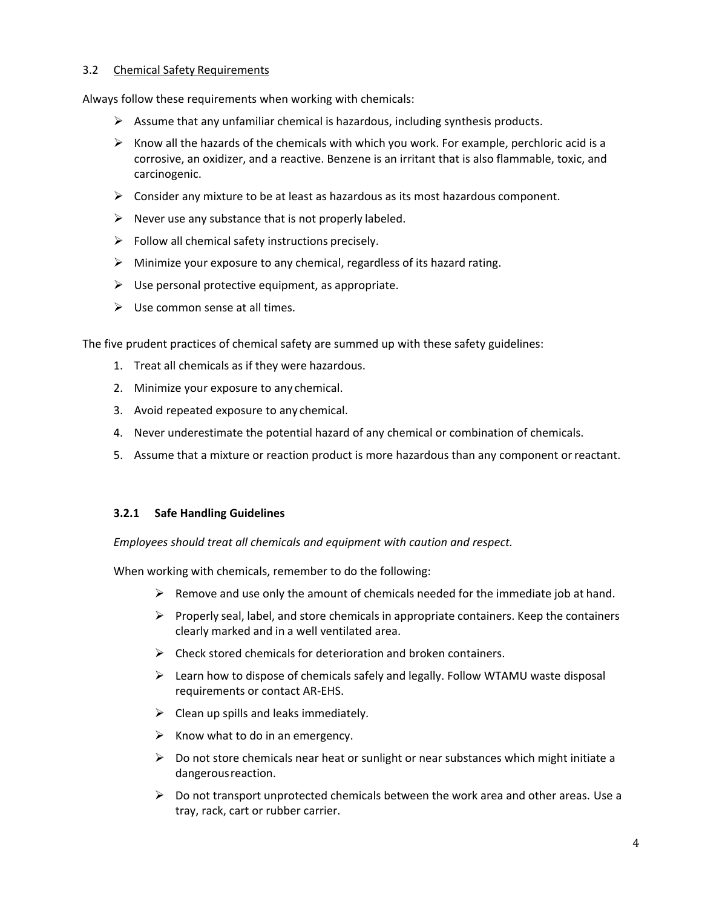## <span id="page-3-0"></span>3.2 Chemical Safety Requirements

Always follow these requirements when working with chemicals:

- $\triangleright$  Assume that any unfamiliar chemical is hazardous, including synthesis products.
- $\triangleright$  Know all the hazards of the chemicals with which you work. For example, perchloric acid is a corrosive, an oxidizer, and a reactive. Benzene is an irritant that is also flammable, toxic, and carcinogenic.
- $\triangleright$  Consider any mixture to be at least as hazardous as its most hazardous component.
- $\triangleright$  Never use any substance that is not properly labeled.
- $\triangleright$  Follow all chemical safety instructions precisely.
- $\triangleright$  Minimize your exposure to any chemical, regardless of its hazard rating.
- $\triangleright$  Use personal protective equipment, as appropriate.
- $\triangleright$  Use common sense at all times.

The five prudent practices of chemical safety are summed up with these safety guidelines:

- 1. Treat all chemicals as if they were hazardous.
- 2. Minimize your exposure to any chemical.
- 3. Avoid repeated exposure to any chemical.
- 4. Never underestimate the potential hazard of any chemical or combination of chemicals.
- 5. Assume that a mixture or reaction product is more hazardous than any component orreactant.

#### <span id="page-3-1"></span>**3.2.1 Safe Handling Guidelines**

*Employees should treat all chemicals and equipment with caution and respect.*

When working with chemicals, remember to do the following:

- $\triangleright$  Remove and use only the amount of chemicals needed for the immediate job at hand.
- $\triangleright$  Properly seal, label, and store chemicals in appropriate containers. Keep the containers clearly marked and in a well ventilated area.
- $\triangleright$  Check stored chemicals for deterioration and broken containers.
- $\triangleright$  Learn how to dispose of chemicals safely and legally. Follow WTAMU waste disposal requirements or contact AR-EHS.
- $\triangleright$  Clean up spills and leaks immediately.
- $\triangleright$  Know what to do in an emergency.
- $\triangleright$  Do not store chemicals near heat or sunlight or near substances which might initiate a dangerousreaction.
- $\triangleright$  Do not transport unprotected chemicals between the work area and other areas. Use a tray, rack, cart or rubber carrier.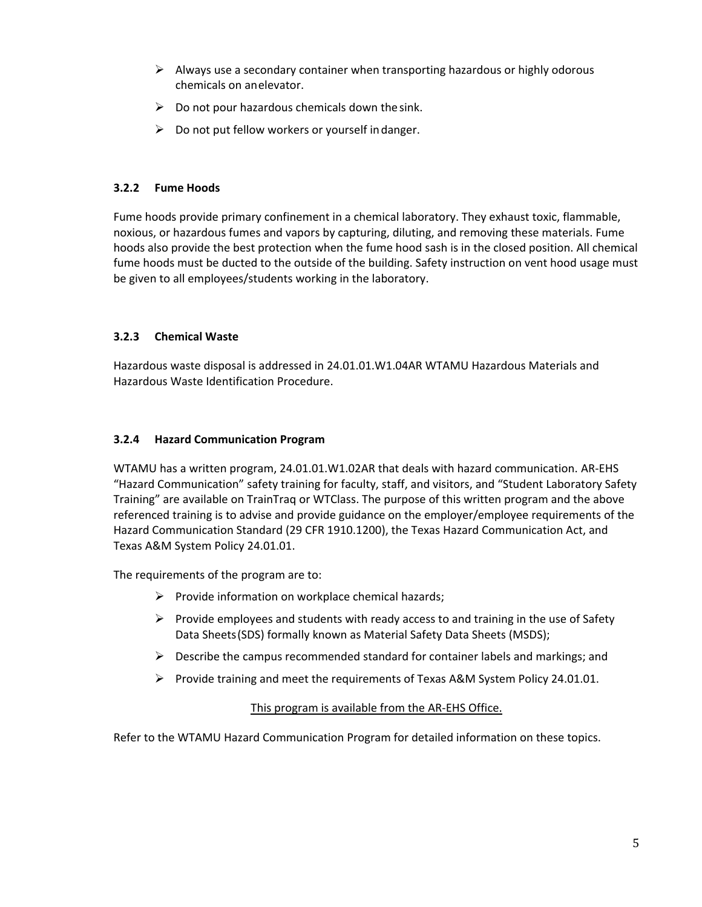- $\triangleright$  Always use a secondary container when transporting hazardous or highly odorous chemicals on anelevator.
- $\triangleright$  Do not pour hazardous chemicals down the sink.
- $\triangleright$  Do not put fellow workers or yourself in danger.

#### <span id="page-4-0"></span>**3.2.2 Fume Hoods**

Fume hoods provide primary confinement in a chemical laboratory. They exhaust toxic, flammable, noxious, or hazardous fumes and vapors by capturing, diluting, and removing these materials. Fume hoods also provide the best protection when the fume hood sash is in the closed position. All chemical fume hoods must be ducted to the outside of the building. Safety instruction on vent hood usage must be given to all employees/students working in the laboratory.

## <span id="page-4-1"></span>**3.2.3 Chemical Waste**

Hazardous waste disposal is addressed in 24.01.01.W1.04AR WTAMU Hazardous Materials and Hazardous Waste Identification Procedure.

#### <span id="page-4-2"></span>**3.2.4 Hazard Communication Program**

WTAMU has a written program, 24.01.01.W1.02AR that deals with hazard communication. AR-EHS "Hazard Communication" safety training for faculty, staff, and visitors, and "Student Laboratory Safety Training" are available on TrainTraq or WTClass. The purpose of this written program and the above referenced training is to advise and provide guidance on the employer/employee requirements of the Hazard Communication Standard (29 CFR 1910.1200), the Texas Hazard Communication Act, and Texas A&M System Policy 24.01.01.

The requirements of the program are to:

- $\triangleright$  Provide information on workplace chemical hazards;
- $\triangleright$  Provide employees and students with ready access to and training in the use of Safety Data Sheets(SDS) formally known as Material Safety Data Sheets (MSDS);
- $\triangleright$  Describe the campus recommended standard for container labels and markings; and
- Provide training and meet the requirements of Texas A&M System Policy 24.01.01.

#### This program is available from the AR-EHS Office.

Refer to the WTAMU Hazard Communication Program for detailed information on these topics.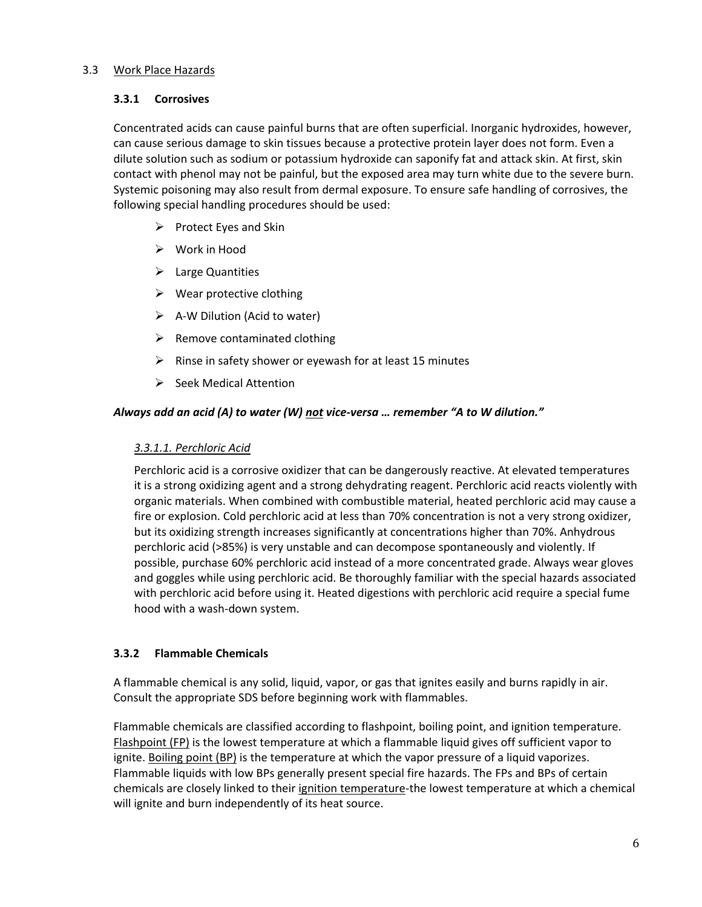## <span id="page-5-1"></span><span id="page-5-0"></span>3.3 Work Place Hazards

#### **3.3.1 Corrosives**

Concentrated acids can cause painful burns that are often superficial. Inorganic hydroxides, however, can cause serious damage to skin tissues because a protective protein layer does not form. Even a dilute solution such as sodium or potassium hydroxide can saponify fat and attack skin. At first, skin contact with phenol may not be painful, but the exposed area may turn white due to the severe burn. Systemic poisoning may also result from dermal exposure. To ensure safe handling of corrosives, the following special handling procedures should be used:

- $\triangleright$  Protect Eyes and Skin
- $\triangleright$  Work in Hood
- $\triangleright$  Large Quantities
- $\triangleright$  Wear protective clothing
- $\triangleright$  A-W Dilution (Acid to water)
- $\triangleright$  Remove contaminated clothing
- $\triangleright$  Rinse in safety shower or eyewash for at least 15 minutes
- $\triangleright$  Seek Medical Attention

#### *Always add an acid (A) to water (W) not vice-versa … remember "A to W dilution."*

#### *3.3.1.1. Perchloric Acid*

Perchloric acid is a corrosive oxidizer that can be dangerously reactive. At elevated temperatures it is a strong oxidizing agent and a strong dehydrating reagent. Perchloric acid reacts violently with organic materials. When combined with combustible material, heated perchloric acid may cause a fire or explosion. Cold perchloric acid at less than 70% concentration is not a very strong oxidizer, but its oxidizing strength increases significantly at concentrations higher than 70%. Anhydrous perchloric acid (>85%) is very unstable and can decompose spontaneously and violently. If possible, purchase 60% perchloric acid instead of a more concentrated grade. Always wear gloves and goggles while using perchloric acid. Be thoroughly familiar with the special hazards associated with perchloric acid before using it. Heated digestions with perchloric acid require a special fume hood with a wash-down system.

#### <span id="page-5-2"></span>**3.3.2 Flammable Chemicals**

A flammable chemical is any solid, liquid, vapor, or gas that ignites easily and burns rapidly in air. Consult the appropriate SDS before beginning work with flammables.

Flammable chemicals are classified according to flashpoint, boiling point, and ignition temperature. Flashpoint (FP) is the lowest temperature at which a flammable liquid gives off sufficient vapor to ignite. Boiling point (BP) is the temperature at which the vapor pressure of a liquid vaporizes. Flammable liquids with low BPs generally present special fire hazards. The FPs and BPs of certain chemicals are closely linked to their ignition temperature-the lowest temperature at which a chemical will ignite and burn independently of its heat source.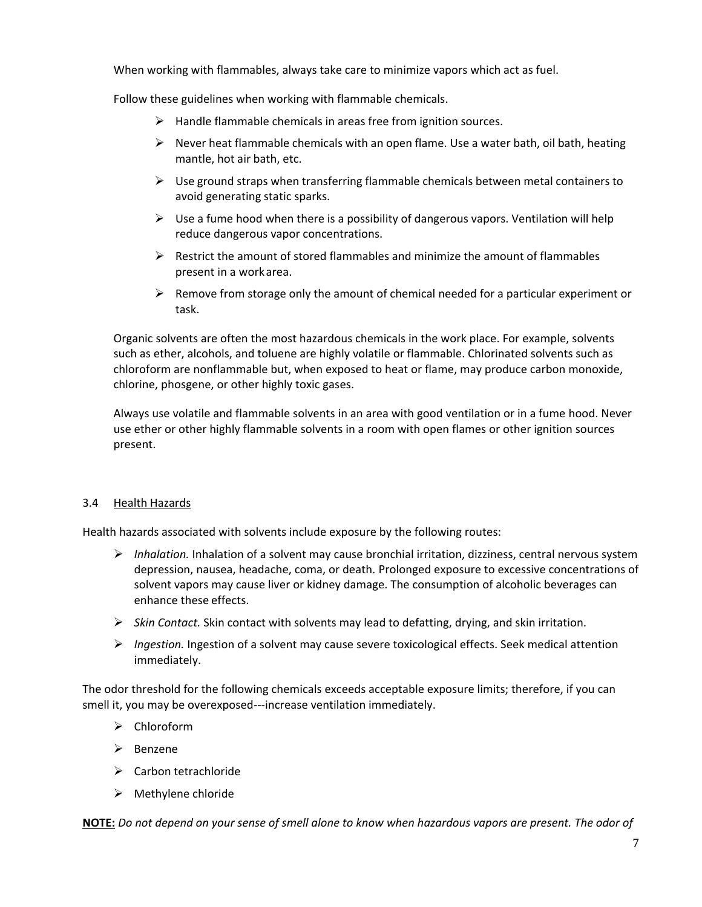When working with flammables, always take care to minimize vapors which act as fuel.

Follow these guidelines when working with flammable chemicals.

- $\triangleright$  Handle flammable chemicals in areas free from ignition sources.
- $\triangleright$  Never heat flammable chemicals with an open flame. Use a water bath, oil bath, heating mantle, hot air bath, etc.
- $\triangleright$  Use ground straps when transferring flammable chemicals between metal containers to avoid generating static sparks.
- $\triangleright$  Use a fume hood when there is a possibility of dangerous vapors. Ventilation will help reduce dangerous vapor concentrations.
- $\triangleright$  Restrict the amount of stored flammables and minimize the amount of flammables present in a workarea.
- $\triangleright$  Remove from storage only the amount of chemical needed for a particular experiment or task.

Organic solvents are often the most hazardous chemicals in the work place. For example, solvents such as ether, alcohols, and toluene are highly volatile or flammable. Chlorinated solvents such as chloroform are nonflammable but, when exposed to heat or flame, may produce carbon monoxide, chlorine, phosgene, or other highly toxic gases.

Always use volatile and flammable solvents in an area with good ventilation or in a fume hood. Never use ether or other highly flammable solvents in a room with open flames or other ignition sources present.

#### <span id="page-6-0"></span>3.4 Health Hazards

Health hazards associated with solvents include exposure by the following routes:

- *Inhalation.* Inhalation of a solvent may cause bronchial irritation, dizziness, central nervous system depression, nausea, headache, coma, or death. Prolonged exposure to excessive concentrations of solvent vapors may cause liver or kidney damage. The consumption of alcoholic beverages can enhance these effects.
- *Skin Contact.* Skin contact with solvents may lead to defatting, drying, and skin irritation.
- *Ingestion.* Ingestion of a solvent may cause severe toxicological effects. Seek medical attention immediately.

The odor threshold for the following chemicals exceeds acceptable exposure limits; therefore, if you can smell it, you may be overexposed---increase ventilation immediately.

- $\triangleright$  Chloroform
- $\triangleright$  Benzene
- $\triangleright$  Carbon tetrachloride
- $\triangleright$  Methylene chloride

**NOTE:** *Do not depend on your sense of smell alone to know when hazardous vapors are present. The odor of*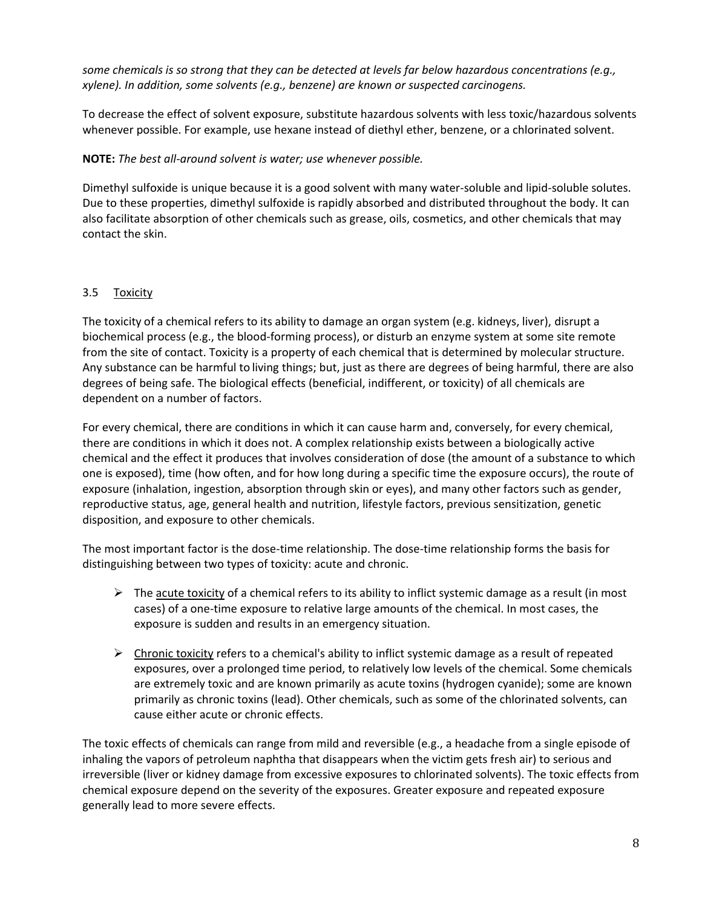*some chemicals is so strong that they can be detected at levels far below hazardous concentrations (e.g., xylene). In addition, some solvents (e.g., benzene) are known or suspected carcinogens.*

To decrease the effect of solvent exposure, substitute hazardous solvents with less toxic/hazardous solvents whenever possible. For example, use hexane instead of diethyl ether, benzene, or a chlorinated solvent.

## **NOTE:** *The best all-around solvent is water; use whenever possible.*

Dimethyl sulfoxide is unique because it is a good solvent with many water-soluble and lipid-soluble solutes. Due to these properties, dimethyl sulfoxide is rapidly absorbed and distributed throughout the body. It can also facilitate absorption of other chemicals such as grease, oils, cosmetics, and other chemicals that may contact the skin.

# <span id="page-7-0"></span>3.5 Toxicity

The toxicity of a chemical refers to its ability to damage an organ system (e.g. kidneys, liver), disrupt a biochemical process (e.g., the blood-forming process), or disturb an enzyme system at some site remote from the site of contact. Toxicity is a property of each chemical that is determined by molecular structure. Any substance can be harmful to living things; but, just as there are degrees of being harmful, there are also degrees of being safe. The biological effects (beneficial, indifferent, or toxicity) of all chemicals are dependent on a number of factors.

For every chemical, there are conditions in which it can cause harm and, conversely, for every chemical, there are conditions in which it does not. A complex relationship exists between a biologically active chemical and the effect it produces that involves consideration of dose (the amount of a substance to which one is exposed), time (how often, and for how long during a specific time the exposure occurs), the route of exposure (inhalation, ingestion, absorption through skin or eyes), and many other factors such as gender, reproductive status, age, general health and nutrition, lifestyle factors, previous sensitization, genetic disposition, and exposure to other chemicals.

The most important factor is the dose-time relationship. The dose-time relationship forms the basis for distinguishing between two types of toxicity: acute and chronic.

- $\triangleright$  The acute toxicity of a chemical refers to its ability to inflict systemic damage as a result (in most cases) of a one-time exposure to relative large amounts of the chemical. In most cases, the exposure is sudden and results in an emergency situation.
- $\triangleright$  Chronic toxicity refers to a chemical's ability to inflict systemic damage as a result of repeated exposures, over a prolonged time period, to relatively low levels of the chemical. Some chemicals are extremely toxic and are known primarily as acute toxins (hydrogen cyanide); some are known primarily as chronic toxins (lead). Other chemicals, such as some of the chlorinated solvents, can cause either acute or chronic effects.

The toxic effects of chemicals can range from mild and reversible (e.g., a headache from a single episode of inhaling the vapors of petroleum naphtha that disappears when the victim gets fresh air) to serious and irreversible (liver or kidney damage from excessive exposures to chlorinated solvents). The toxic effects from chemical exposure depend on the severity of the exposures. Greater exposure and repeated exposure generally lead to more severe effects.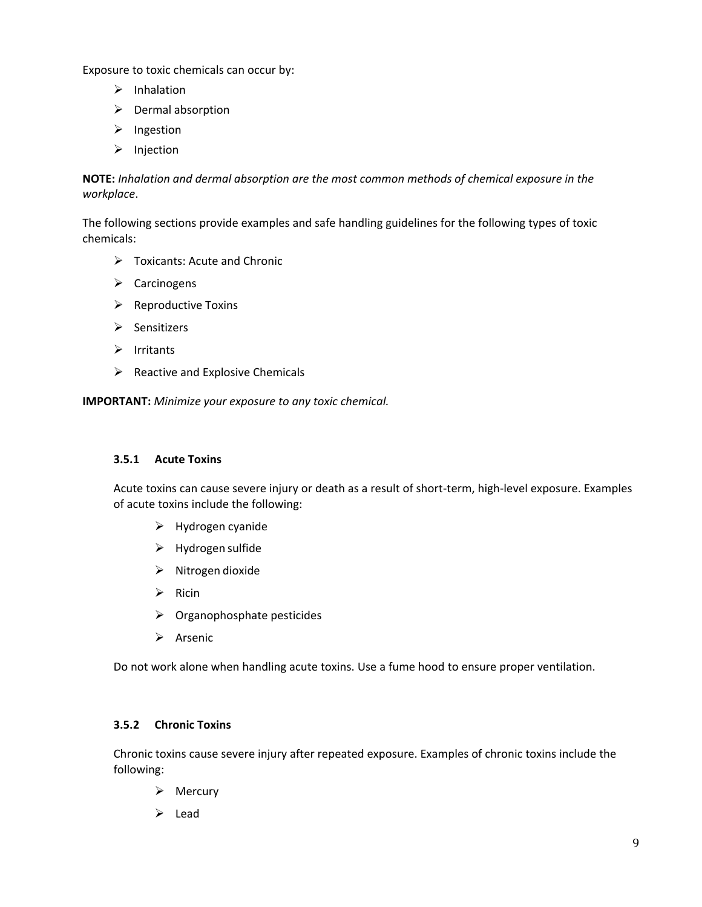Exposure to toxic chemicals can occur by:

- $\triangleright$  Inhalation
- $\triangleright$  Dermal absorption
- $\triangleright$  Ingestion
- $\triangleright$  Injection

**NOTE:** *Inhalation and dermal absorption are the most common methods of chemical exposure in the workplace*.

The following sections provide examples and safe handling guidelines for the following types of toxic chemicals:

- $\triangleright$  Toxicants: Acute and Chronic
- $\triangleright$  Carcinogens
- $\triangleright$  Reproductive Toxins
- $\triangleright$  Sensitizers
- $\triangleright$  Irritants
- $\triangleright$  Reactive and Explosive Chemicals

**IMPORTANT:** *Minimize your exposure to any toxic chemical.*

# <span id="page-8-0"></span>**3.5.1 Acute Toxins**

Acute toxins can cause severe injury or death as a result of short-term, high-level exposure. Examples of acute toxins include the following:

- $\triangleright$  Hydrogen cyanide
- $\triangleright$  Hydrogen sulfide
- $\triangleright$  Nitrogen dioxide
- $\triangleright$  Ricin
- $\triangleright$  Organophosphate pesticides
- $\triangleright$  Arsenic

Do not work alone when handling acute toxins. Use a fume hood to ensure proper ventilation.

#### <span id="page-8-1"></span>**3.5.2 Chronic Toxins**

Chronic toxins cause severe injury after repeated exposure. Examples of chronic toxins include the following:

- $\triangleright$  Mercury
- $\triangleright$  Lead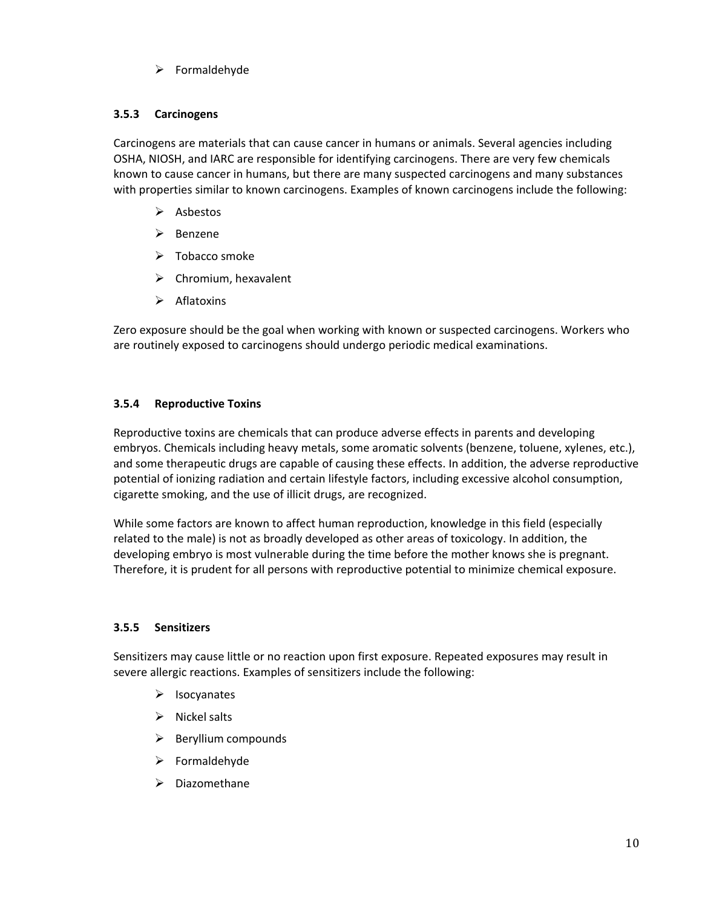$\triangleright$  Formaldehyde

# <span id="page-9-0"></span>**3.5.3 Carcinogens**

Carcinogens are materials that can cause cancer in humans or animals. Several agencies including OSHA, NIOSH, and IARC are responsible for identifying carcinogens. There are very few chemicals known to cause cancer in humans, but there are many suspected carcinogens and many substances with properties similar to known carcinogens. Examples of known carcinogens include the following:

- $\triangleright$  Asbestos
- $\triangleright$  Benzene
- $\triangleright$  Tobacco smoke
- $\triangleright$  Chromium, hexavalent
- $\triangleright$  Aflatoxins

Zero exposure should be the goal when working with known or suspected carcinogens. Workers who are routinely exposed to carcinogens should undergo periodic medical examinations.

## <span id="page-9-1"></span>**3.5.4 Reproductive Toxins**

Reproductive toxins are chemicals that can produce adverse effects in parents and developing embryos. Chemicals including heavy metals, some aromatic solvents (benzene, toluene, xylenes, etc.), and some therapeutic drugs are capable of causing these effects. In addition, the adverse reproductive potential of ionizing radiation and certain lifestyle factors, including excessive alcohol consumption, cigarette smoking, and the use of illicit drugs, are recognized.

While some factors are known to affect human reproduction, knowledge in this field (especially related to the male) is not as broadly developed as other areas of toxicology. In addition, the developing embryo is most vulnerable during the time before the mother knows she is pregnant. Therefore, it is prudent for all persons with reproductive potential to minimize chemical exposure.

#### <span id="page-9-2"></span>**3.5.5 Sensitizers**

Sensitizers may cause little or no reaction upon first exposure. Repeated exposures may result in severe allergic reactions. Examples of sensitizers include the following:

- $\triangleright$  Isocyanates
- $\triangleright$  Nickel salts
- $\triangleright$  Beryllium compounds
- $\triangleright$  Formaldehyde
- $\triangleright$  Diazomethane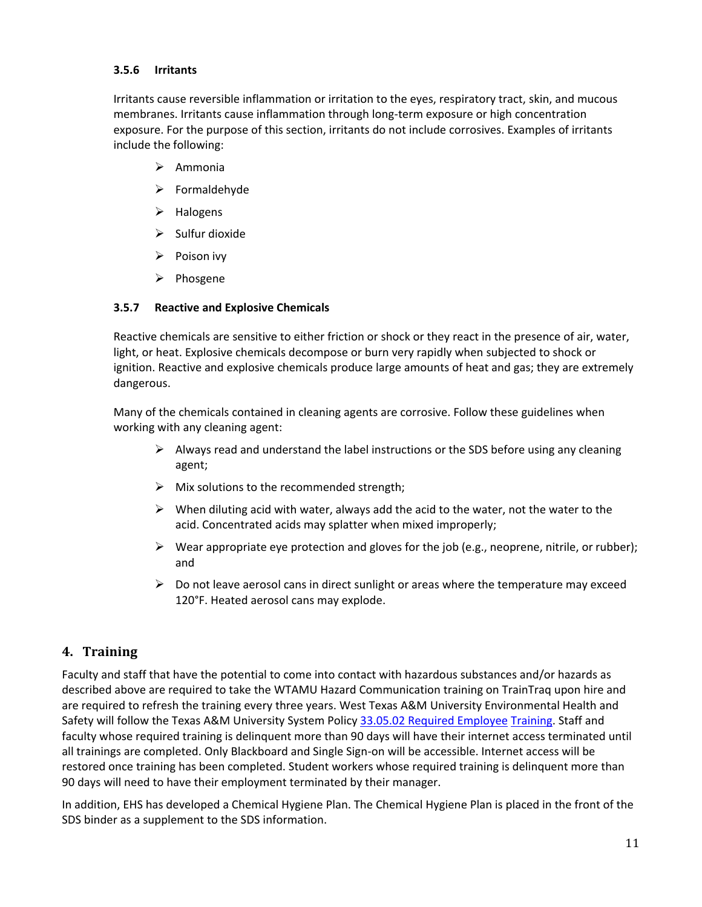## <span id="page-10-0"></span>**3.5.6 Irritants**

Irritants cause reversible inflammation or irritation to the eyes, respiratory tract, skin, and mucous membranes. Irritants cause inflammation through long-term exposure or high concentration exposure. For the purpose of this section, irritants do not include corrosives. Examples of irritants include the following:

- $\triangleright$  Ammonia
- $\triangleright$  Formaldehyde
- $\triangleright$  Halogens
- $\triangleright$  Sulfur dioxide
- $\triangleright$  Poison ivy
- $\triangleright$  Phosgene

#### <span id="page-10-1"></span>**3.5.7 Reactive and Explosive Chemicals**

Reactive chemicals are sensitive to either friction or shock or they react in the presence of air, water, light, or heat. Explosive chemicals decompose or burn very rapidly when subjected to shock or ignition. Reactive and explosive chemicals produce large amounts of heat and gas; they are extremely dangerous.

Many of the chemicals contained in cleaning agents are corrosive. Follow these guidelines when working with any cleaning agent:

- $\triangleright$  Always read and understand the label instructions or the SDS before using any cleaning agent;
- $\triangleright$  Mix solutions to the recommended strength;
- $\triangleright$  When diluting acid with water, always add the acid to the water, not the water to the acid. Concentrated acids may splatter when mixed improperly;
- $\triangleright$  Wear appropriate eye protection and gloves for the job (e.g., neoprene, nitrile, or rubber); and
- $\triangleright$  Do not leave aerosol cans in direct sunlight or areas where the temperature may exceed 120°F. Heated aerosol cans may explode.

# <span id="page-10-2"></span>**4. Training**

Faculty and staff that have the potential to come into contact with hazardous substances and/or hazards as described above are required to take the WTAMU Hazard Communication training on TrainTraq upon hire and are required to refresh the training every three years. West Texas A&M University Environmental Health and Safety will follow the Texas A&M University System Policy [33.05.02 Required Employee](http://policies.tamus.edu/33-05-02.pdf) [Training.](http://policies.tamus.edu/33-05-02.pdf) Staff and faculty whose required training is delinquent more than 90 days will have their internet access terminated until all trainings are completed. Only Blackboard and Single Sign-on will be accessible. Internet access will be restored once training has been completed. Student workers whose required training is delinquent more than 90 days will need to have their employment terminated by their manager.

In addition, EHS has developed a Chemical Hygiene Plan. The Chemical Hygiene Plan is placed in the front of the SDS binder as a supplement to the SDS information.